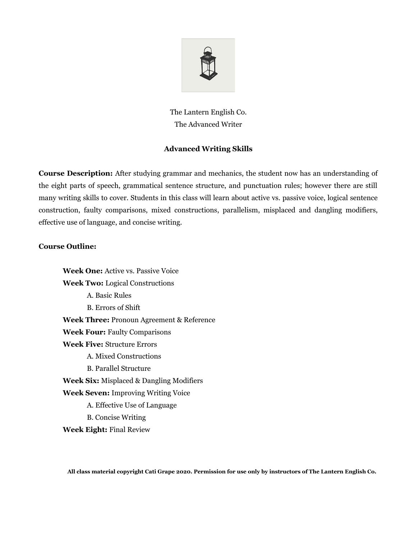

The Lantern English Co. The Advanced Writer

## **Advanced Writing Skills**

**Course Description:** After studying grammar and mechanics, the student now has an understanding of the eight parts of speech, grammatical sentence structure, and punctuation rules; however there are still many writing skills to cover. Students in this class will learn about active vs. passive voice, logical sentence construction, faulty comparisons, mixed constructions, parallelism, misplaced and dangling modifiers, effective use of language, and concise writing.

## **Course Outline:**

**Week One:** Active vs. Passive Voice **Week Two:** Logical Constructions A. Basic Rules B. Errors of Shift **Week Three:** Pronoun Agreement & Reference **Week Four:** Faulty Comparisons **Week Five:** Structure Errors A. Mixed Constructions B. Parallel Structure **Week Six:** Misplaced & Dangling Modifiers **Week Seven:** Improving Writing Voice A. Effective Use of Language B. Concise Writing **Week Eight:** Final Review

**All class material copyright Cati Grape 2020. Permission for use only by instructors of The Lantern English Co.**